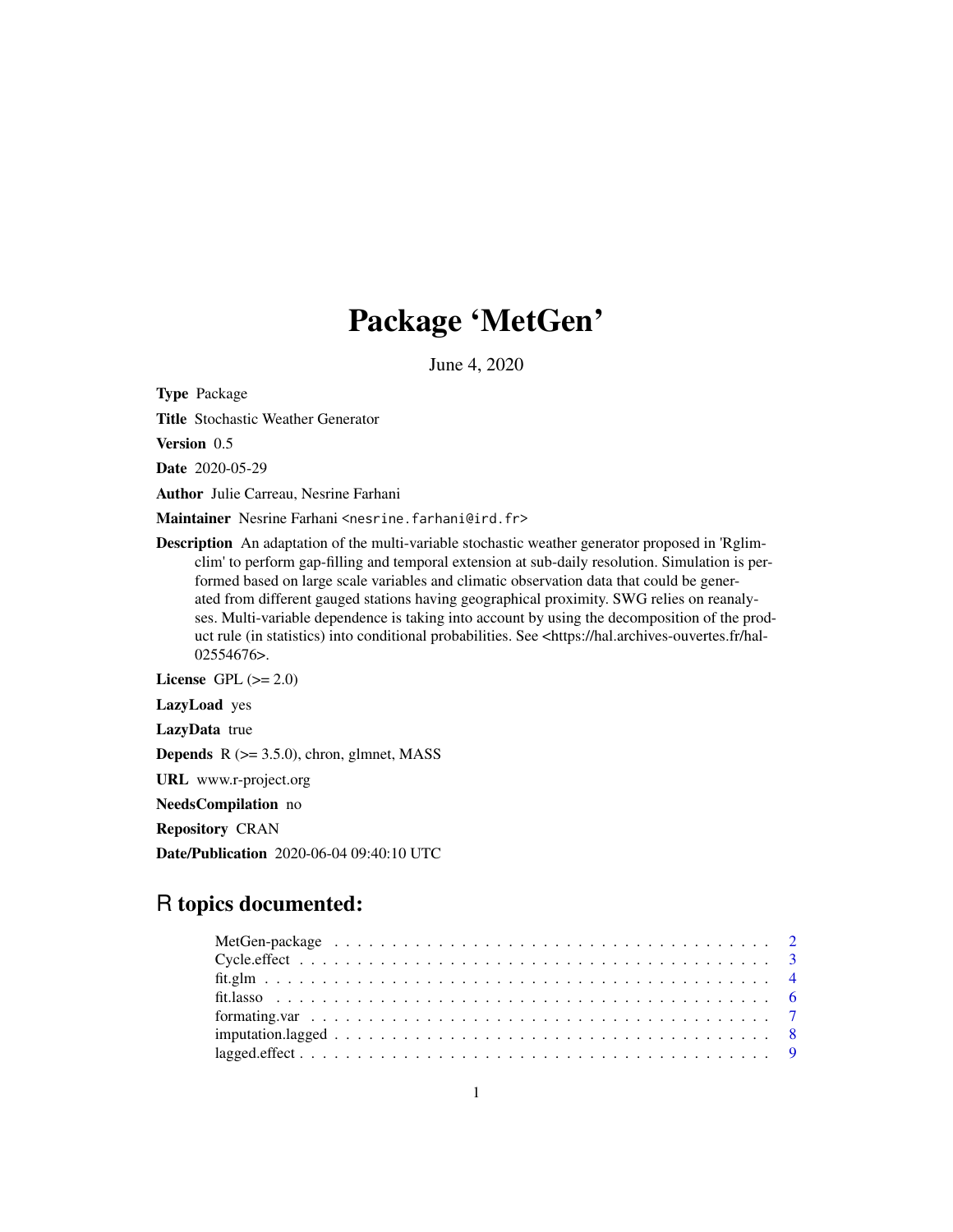## Package 'MetGen'

June 4, 2020

<span id="page-0-0"></span>Type Package

Title Stochastic Weather Generator

Version 0.5

Date 2020-05-29

Author Julie Carreau, Nesrine Farhani

Maintainer Nesrine Farhani <nesrine.farhani@ird.fr>

Description An adaptation of the multi-variable stochastic weather generator proposed in 'Rglimclim' to perform gap-filling and temporal extension at sub-daily resolution. Simulation is performed based on large scale variables and climatic observation data that could be generated from different gauged stations having geographical proximity. SWG relies on reanalyses. Multi-variable dependence is taking into account by using the decomposition of the product rule (in statistics) into conditional probabilities. See <https://hal.archives-ouvertes.fr/hal-02554676>.

License GPL  $(>= 2.0)$ LazyLoad yes LazyData true **Depends**  $R$  ( $>= 3.5.0$ ), chron, glmnet, MASS URL www.r-project.org

NeedsCompilation no

Repository CRAN

Date/Publication 2020-06-04 09:40:10 UTC

## R topics documented: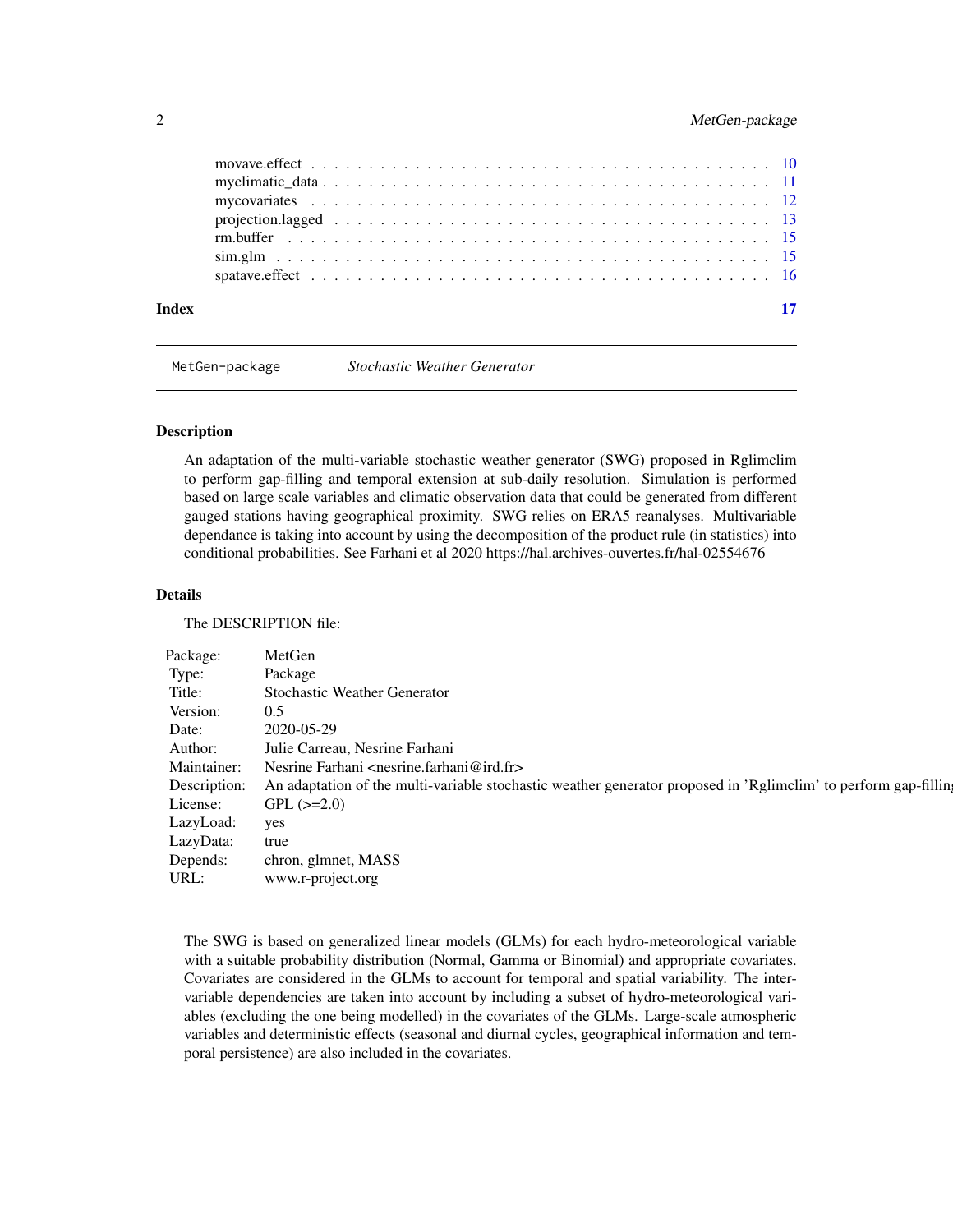## <span id="page-1-0"></span>2 MetGen-package

| Index |  |
|-------|--|
|       |  |
|       |  |
|       |  |
|       |  |
|       |  |
|       |  |
|       |  |

MetGen-package *Stochastic Weather Generator*

#### Description

An adaptation of the multi-variable stochastic weather generator (SWG) proposed in Rglimclim to perform gap-filling and temporal extension at sub-daily resolution. Simulation is performed based on large scale variables and climatic observation data that could be generated from different gauged stations having geographical proximity. SWG relies on ERA5 reanalyses. Multivariable dependance is taking into account by using the decomposition of the product rule (in statistics) into conditional probabilities. See Farhani et al 2020 https://hal.archives-ouvertes.fr/hal-02554676

#### Details

The DESCRIPTION file:

| Package:                        | MetGen                                                                                                                       |
|---------------------------------|------------------------------------------------------------------------------------------------------------------------------|
| Type:                           | Package                                                                                                                      |
| Title:                          | <b>Stochastic Weather Generator</b>                                                                                          |
| Version:                        | 0.5                                                                                                                          |
| Date:                           | 2020-05-29                                                                                                                   |
| Author:                         | Julie Carreau, Nesrine Farhani                                                                                               |
|                                 |                                                                                                                              |
|                                 | Maintainer: Nesrine Farhani <nesrine.farhani@ird.fr></nesrine.farhani@ird.fr>                                                |
|                                 | Description: An adaptation of the multi-variable stochastic weather generator proposed in 'Rglimclim' to perform gap-filling |
|                                 | License: GPL $(\geq=2.0)$                                                                                                    |
|                                 |                                                                                                                              |
| LazyLoad: yes<br>LazyData: true |                                                                                                                              |
|                                 | Depends: chron, glmnet, MASS                                                                                                 |
| URL:                            | www.r-project.org                                                                                                            |
|                                 |                                                                                                                              |

The SWG is based on generalized linear models (GLMs) for each hydro-meteorological variable with a suitable probability distribution (Normal, Gamma or Binomial) and appropriate covariates. Covariates are considered in the GLMs to account for temporal and spatial variability. The intervariable dependencies are taken into account by including a subset of hydro-meteorological variables (excluding the one being modelled) in the covariates of the GLMs. Large-scale atmospheric variables and deterministic effects (seasonal and diurnal cycles, geographical information and temporal persistence) are also included in the covariates.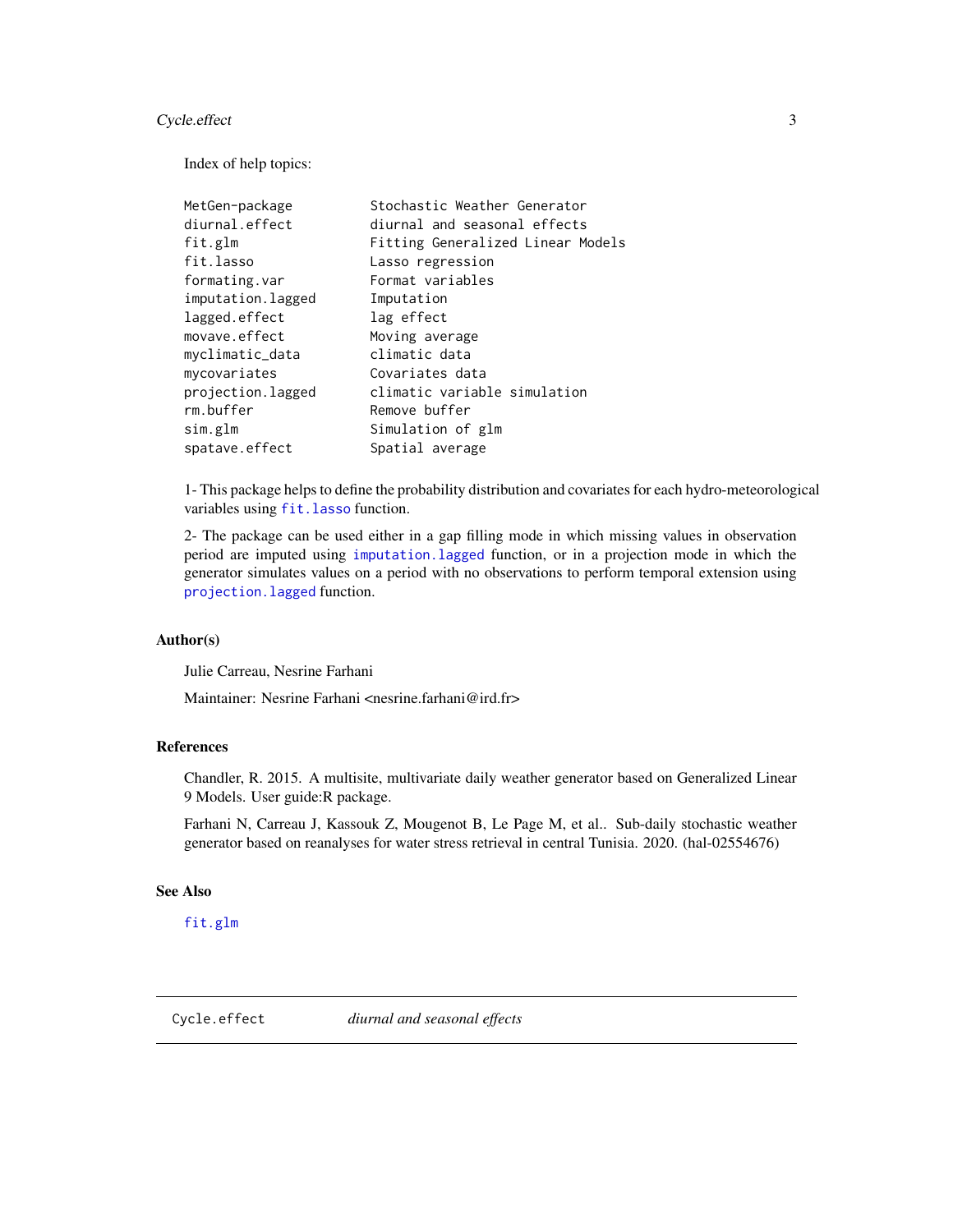## <span id="page-2-0"></span>Cycle.effect 3

Index of help topics:

| MetGen-package    | Stochastic Weather Generator      |
|-------------------|-----------------------------------|
| diurnal.effect    | diurnal and seasonal effects      |
| fit.glm           | Fitting Generalized Linear Models |
| fit.lasso         | Lasso regression                  |
| formating.var     | Format variables                  |
| imputation.lagged | Imputation                        |
| lagged.effect     | lag effect                        |
| movave.effect     | Moving average                    |
| myclimatic_data   | climatic data                     |
| mycovariates      | Covariates data                   |
| projection.lagged | climatic variable simulation      |
| rm.buffer         | Remove buffer                     |
| sim.glm           | Simulation of glm                 |
| spatave.effect    | Spatial average                   |

1- This package helps to define the probability distribution and covariates for each hydro-meteorological variables using fit. lasso function.

2- The package can be used either in a gap filling mode in which missing values in observation period are imputed using [imputation.lagged](#page-7-1) function, or in a projection mode in which the generator simulates values on a period with no observations to perform temporal extension using [projection.lagged](#page-12-1) function.

#### Author(s)

Julie Carreau, Nesrine Farhani

Maintainer: Nesrine Farhani <nesrine.farhani@ird.fr>

#### References

Chandler, R. 2015. A multisite, multivariate daily weather generator based on Generalized Linear 9 Models. User guide:R package.

Farhani N, Carreau J, Kassouk Z, Mougenot B, Le Page M, et al.. Sub-daily stochastic weather generator based on reanalyses for water stress retrieval in central Tunisia. 2020. (hal-02554676)

### See Also

[fit.glm](#page-3-1)

<span id="page-2-1"></span>

Cycle.effect *diurnal and seasonal effects*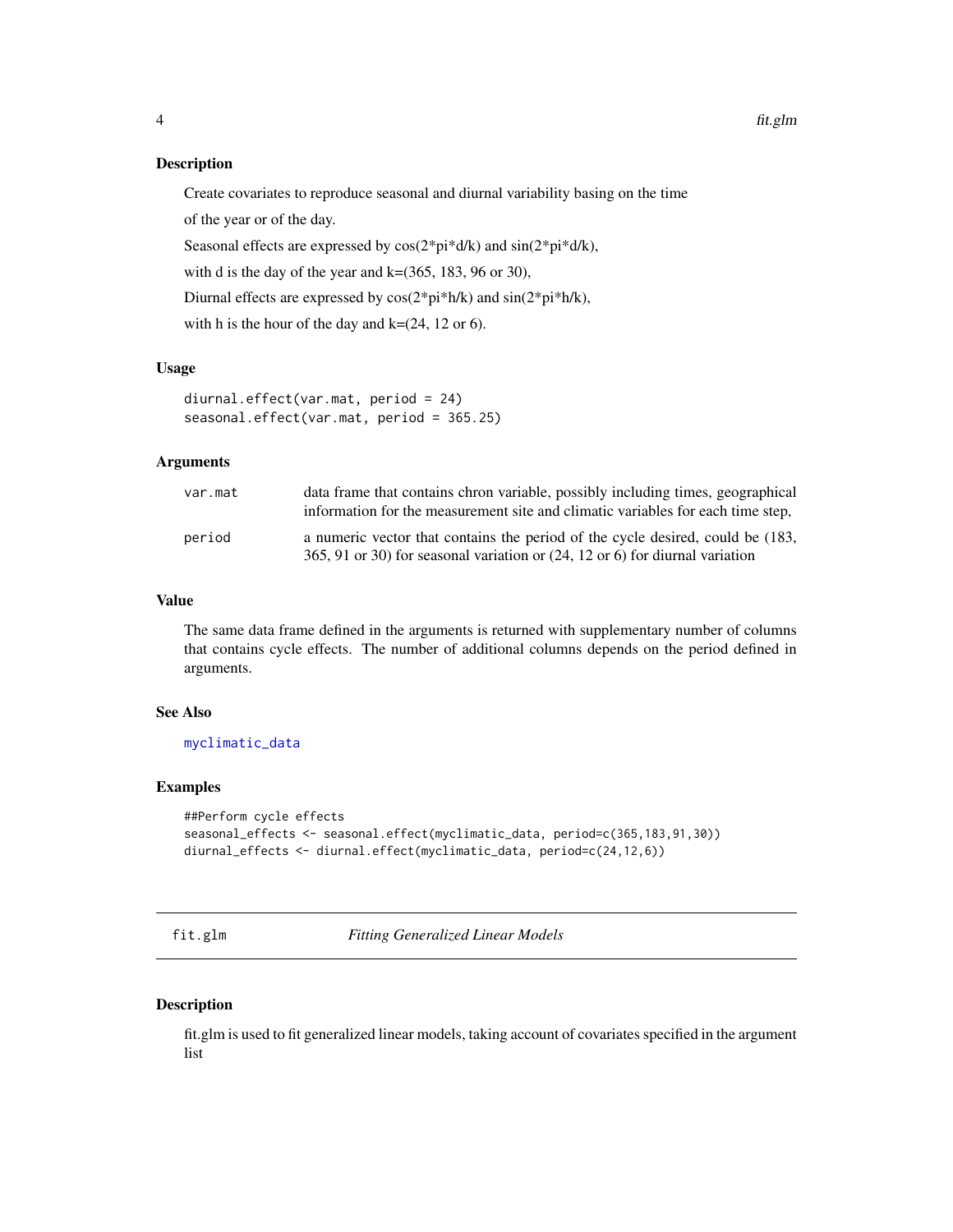<span id="page-3-0"></span>Create covariates to reproduce seasonal and diurnal variability basing on the time

of the year or of the day.

Seasonal effects are expressed by cos(2\*pi\*d/k) and sin(2\*pi\*d/k),

with d is the day of the year and  $k=(365, 183, 96 \text{ or } 30)$ ,

Diurnal effects are expressed by cos(2\*pi\*h/k) and sin(2\*pi\*h/k),

with h is the hour of the day and  $k=(24, 12 \text{ or } 6)$ .

#### Usage

```
diurnal.effect(var.mat, period = 24)
seasonal.effect(var.mat, period = 365.25)
```
## Arguments

| var.mat | data frame that contains chron variable, possibly including times, geographical<br>information for the measurement site and climatic variables for each time step,        |
|---------|---------------------------------------------------------------------------------------------------------------------------------------------------------------------------|
| period  | a numeric vector that contains the period of the cycle desired, could be (183,<br>365, 91 or 30) for seasonal variation or $(24, 12 \text{ or } 6)$ for diurnal variation |

## Value

The same data frame defined in the arguments is returned with supplementary number of columns that contains cycle effects. The number of additional columns depends on the period defined in arguments.

## See Also

[myclimatic\\_data](#page-10-1)

## Examples

```
##Perform cycle effects
seasonal_effects <- seasonal.effect(myclimatic_data, period=c(365,183,91,30))
diurnal_effects <- diurnal.effect(myclimatic_data, period=c(24,12,6))
```
<span id="page-3-1"></span>fit.glm *Fitting Generalized Linear Models*

### Description

fit.glm is used to fit generalized linear models, taking account of covariates specified in the argument list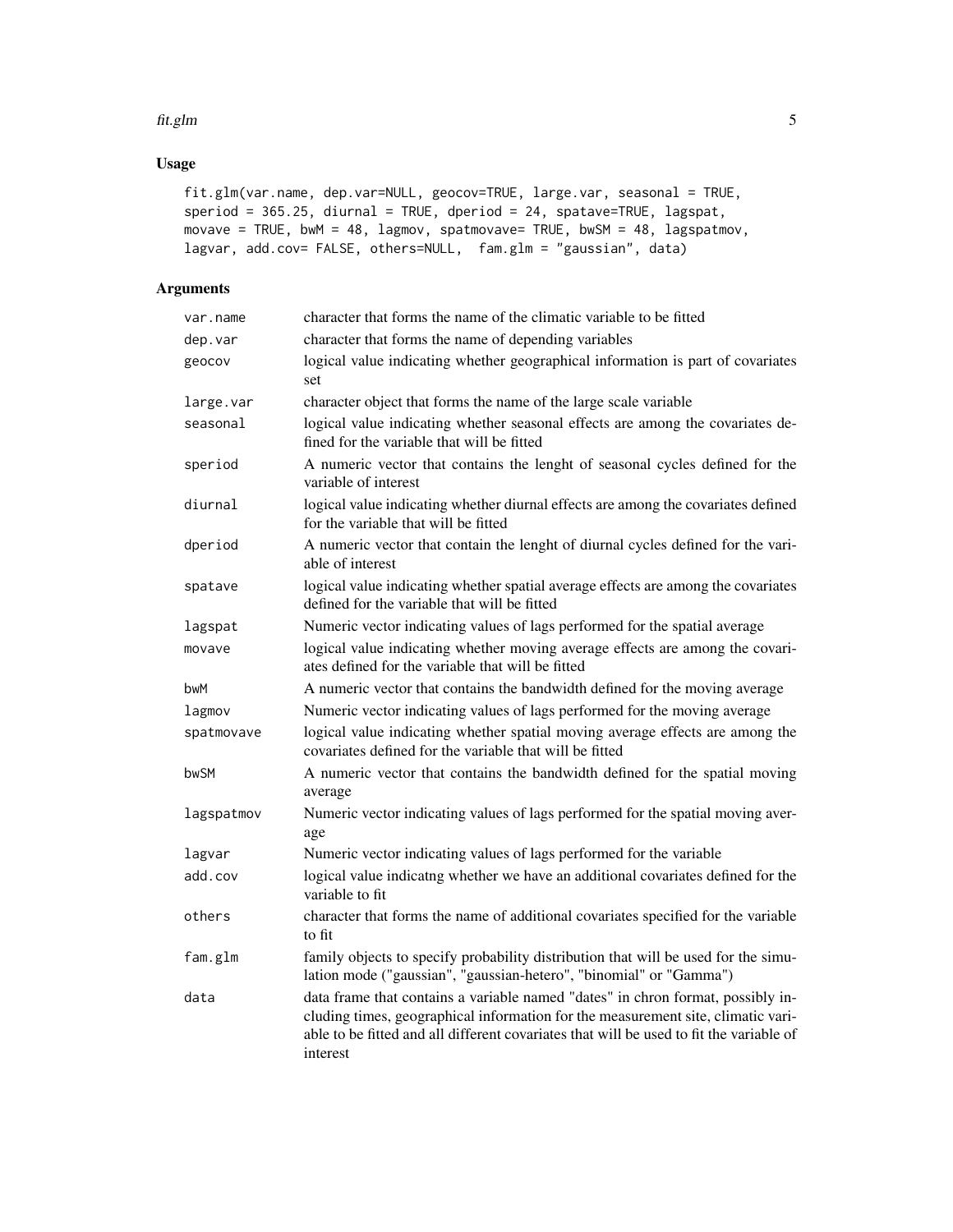#### fit.glm 5

## Usage

```
fit.glm(var.name, dep.var=NULL, geocov=TRUE, large.var, seasonal = TRUE,
speriod = 365.25, diurnal = TRUE, dperiod = 24, spatave=TRUE, lagspat,
movave = TRUE, bwM = 48, lagmov, spatmovave= TRUE, bwSM = 48, lagspatmov,
lagvar, add.cov= FALSE, others=NULL, fam.glm = "gaussian", data)
```

| var.name   | character that forms the name of the climatic variable to be fitted                                                                                                                                                                                                        |
|------------|----------------------------------------------------------------------------------------------------------------------------------------------------------------------------------------------------------------------------------------------------------------------------|
| dep.var    | character that forms the name of depending variables                                                                                                                                                                                                                       |
| geocov     | logical value indicating whether geographical information is part of covariates<br>set                                                                                                                                                                                     |
| large.var  | character object that forms the name of the large scale variable                                                                                                                                                                                                           |
| seasonal   | logical value indicating whether seasonal effects are among the covariates de-<br>fined for the variable that will be fitted                                                                                                                                               |
| speriod    | A numeric vector that contains the lenght of seasonal cycles defined for the<br>variable of interest                                                                                                                                                                       |
| diurnal    | logical value indicating whether diurnal effects are among the covariates defined<br>for the variable that will be fitted                                                                                                                                                  |
| dperiod    | A numeric vector that contain the lenght of diurnal cycles defined for the vari-<br>able of interest                                                                                                                                                                       |
| spatave    | logical value indicating whether spatial average effects are among the covariates<br>defined for the variable that will be fitted                                                                                                                                          |
| lagspat    | Numeric vector indicating values of lags performed for the spatial average                                                                                                                                                                                                 |
| movave     | logical value indicating whether moving average effects are among the covari-<br>ates defined for the variable that will be fitted                                                                                                                                         |
| bwM        | A numeric vector that contains the bandwidth defined for the moving average                                                                                                                                                                                                |
| lagmov     | Numeric vector indicating values of lags performed for the moving average                                                                                                                                                                                                  |
| spatmovave | logical value indicating whether spatial moving average effects are among the<br>covariates defined for the variable that will be fitted                                                                                                                                   |
| bwSM       | A numeric vector that contains the bandwidth defined for the spatial moving<br>average                                                                                                                                                                                     |
| lagspatmov | Numeric vector indicating values of lags performed for the spatial moving aver-<br>age                                                                                                                                                                                     |
| lagvar     | Numeric vector indicating values of lags performed for the variable                                                                                                                                                                                                        |
| add.cov    | logical value indicatng whether we have an additional covariates defined for the<br>variable to fit                                                                                                                                                                        |
| others     | character that forms the name of additional covariates specified for the variable<br>to fit                                                                                                                                                                                |
| fam.glm    | family objects to specify probability distribution that will be used for the simu-<br>lation mode ("gaussian", "gaussian-hetero", "binomial" or "Gamma")                                                                                                                   |
| data       | data frame that contains a variable named "dates" in chron format, possibly in-<br>cluding times, geographical information for the measurement site, climatic vari-<br>able to be fitted and all different covariates that will be used to fit the variable of<br>interest |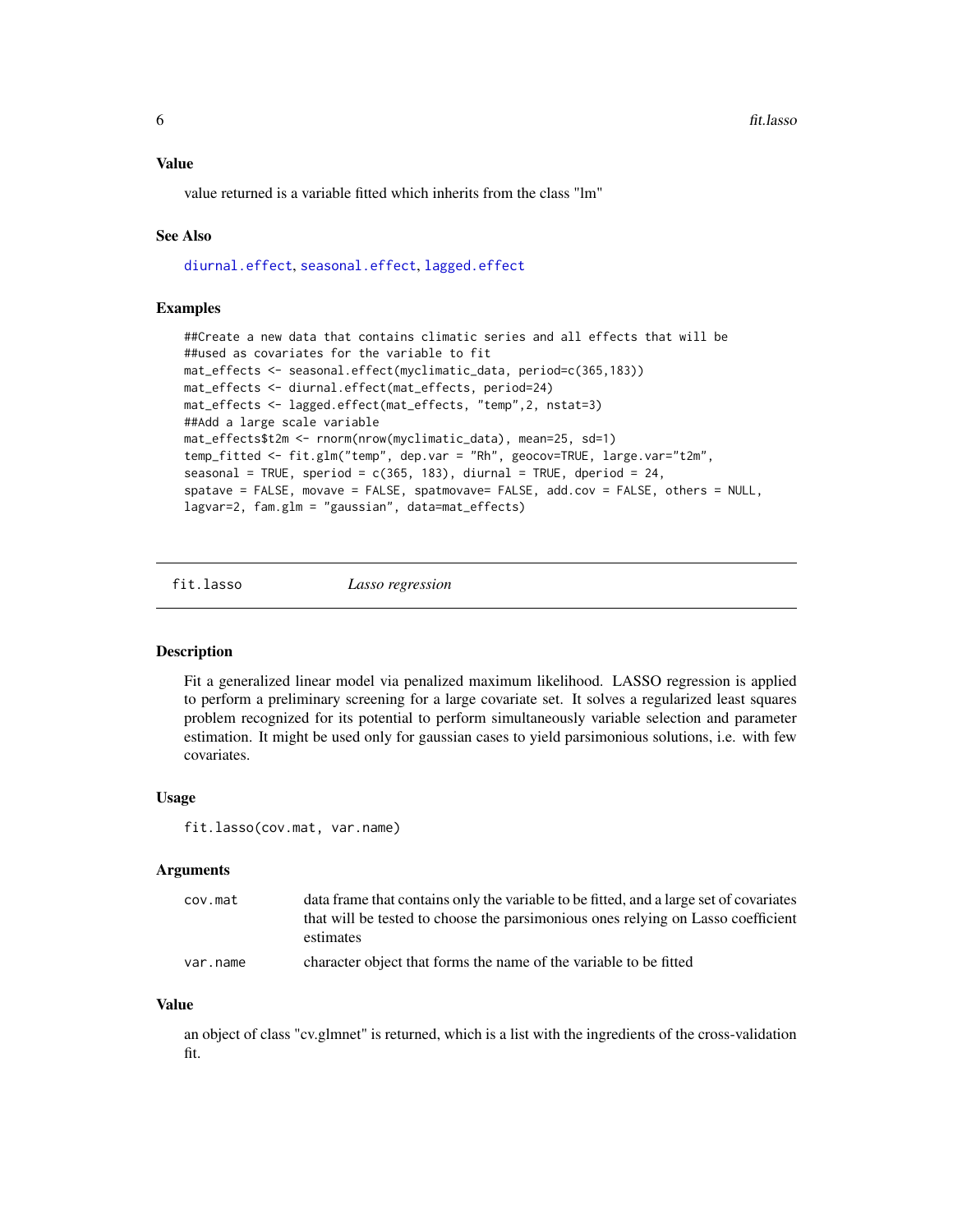<span id="page-5-0"></span>value returned is a variable fitted which inherits from the class "lm"

#### See Also

[diurnal.effect](#page-2-1), [seasonal.effect](#page-2-1), [lagged.effect](#page-8-1)

#### Examples

```
##Create a new data that contains climatic series and all effects that will be
##used as covariates for the variable to fit
mat_effects <- seasonal.effect(myclimatic_data, period=c(365,183))
mat_effects <- diurnal.effect(mat_effects, period=24)
mat_effects <- lagged.effect(mat_effects, "temp",2, nstat=3)
##Add a large scale variable
mat_effects$t2m <- rnorm(nrow(myclimatic_data), mean=25, sd=1)
temp_fitted <- fit.glm("temp", dep.var = "Rh", geocov=TRUE, large.var="t2m",
seasonal = TRUE, speriod = c(365, 183), diurnal = TRUE, dperiod = 24,
spatave = FALSE, movave = FALSE, spatmovave= FALSE, add.cov = FALSE, others = NULL,
lagvar=2, fam.glm = "gaussian", data=mat_effects)
```
<span id="page-5-1"></span>fit.lasso *Lasso regression*

#### Description

Fit a generalized linear model via penalized maximum likelihood. LASSO regression is applied to perform a preliminary screening for a large covariate set. It solves a regularized least squares problem recognized for its potential to perform simultaneously variable selection and parameter estimation. It might be used only for gaussian cases to yield parsimonious solutions, i.e. with few covariates.

#### Usage

fit.lasso(cov.mat, var.name)

#### Arguments

| cov.mat  | data frame that contains only the variable to be fitted, and a large set of covariates |
|----------|----------------------------------------------------------------------------------------|
|          | that will be tested to choose the parsimonious ones relying on Lasso coefficient       |
|          | estimates                                                                              |
| var.name | character object that forms the name of the variable to be fitted                      |

#### Value

an object of class "cv.glmnet" is returned, which is a list with the ingredients of the cross-validation fit.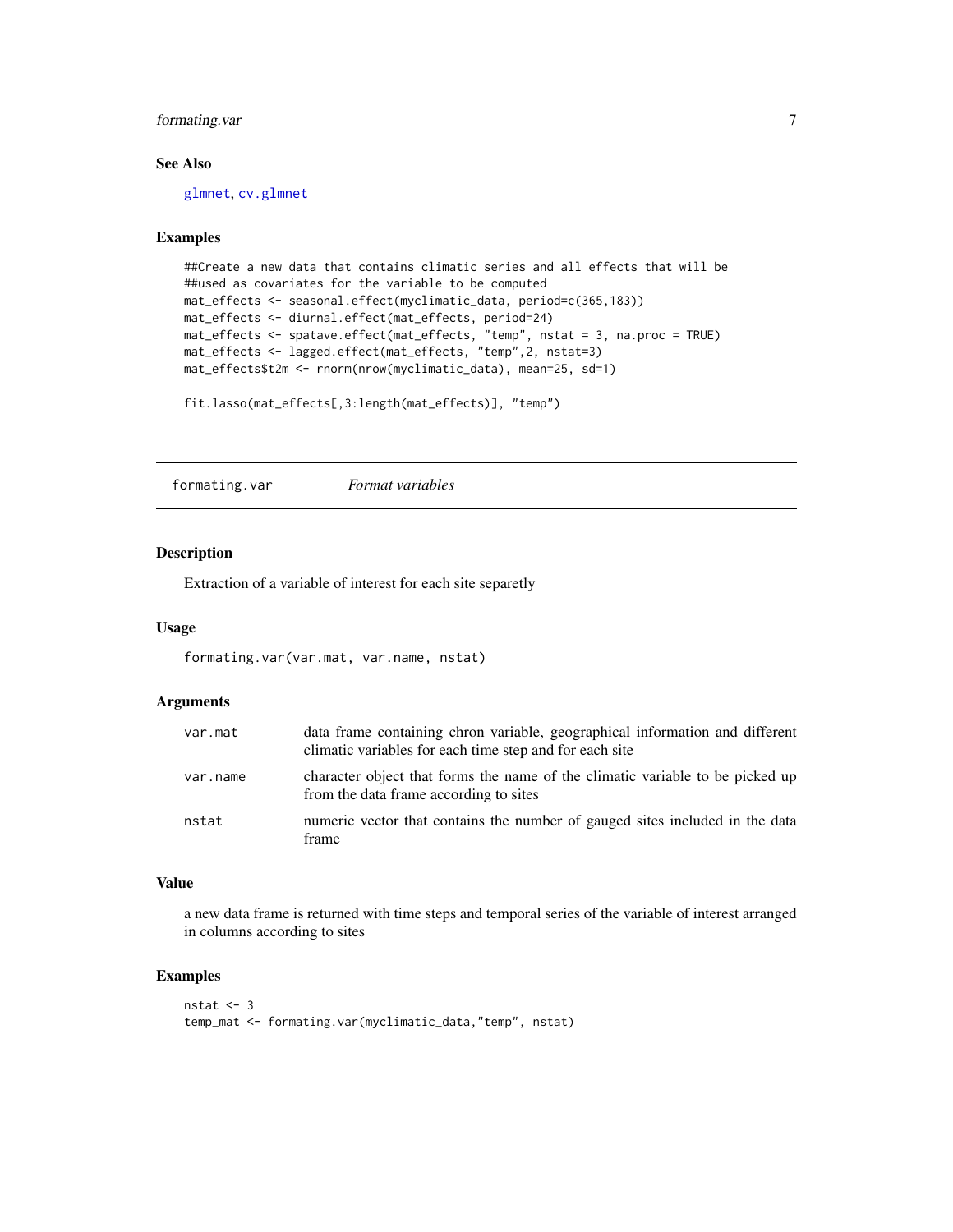## <span id="page-6-0"></span>formating.var 7

## See Also

[glmnet](#page-0-0), [cv.glmnet](#page-0-0)

#### Examples

```
##Create a new data that contains climatic series and all effects that will be
##used as covariates for the variable to be computed
mat_effects <- seasonal.effect(myclimatic_data, period=c(365,183))
mat_effects <- diurnal.effect(mat_effects, period=24)
mat_effects <- spatave.effect(mat_effects, "temp", nstat = 3, na.proc = TRUE)
mat_effects <- lagged.effect(mat_effects, "temp",2, nstat=3)
mat_effects$t2m <- rnorm(nrow(myclimatic_data), mean=25, sd=1)
```

```
fit.lasso(mat_effects[,3:length(mat_effects)], "temp")
```
formating.var *Format variables*

#### Description

Extraction of a variable of interest for each site separetly

#### Usage

```
formating.var(var.mat, var.name, nstat)
```
## Arguments

| var.mat  | data frame containing chron variable, geographical information and different<br>climatic variables for each time step and for each site |
|----------|-----------------------------------------------------------------------------------------------------------------------------------------|
| var.name | character object that forms the name of the climatic variable to be picked up<br>from the data frame according to sites                 |
| nstat    | numeric vector that contains the number of gauged sites included in the data<br>frame                                                   |

## Value

a new data frame is returned with time steps and temporal series of the variable of interest arranged in columns according to sites

## Examples

```
nstat <-3temp_mat <- formating.var(myclimatic_data,"temp", nstat)
```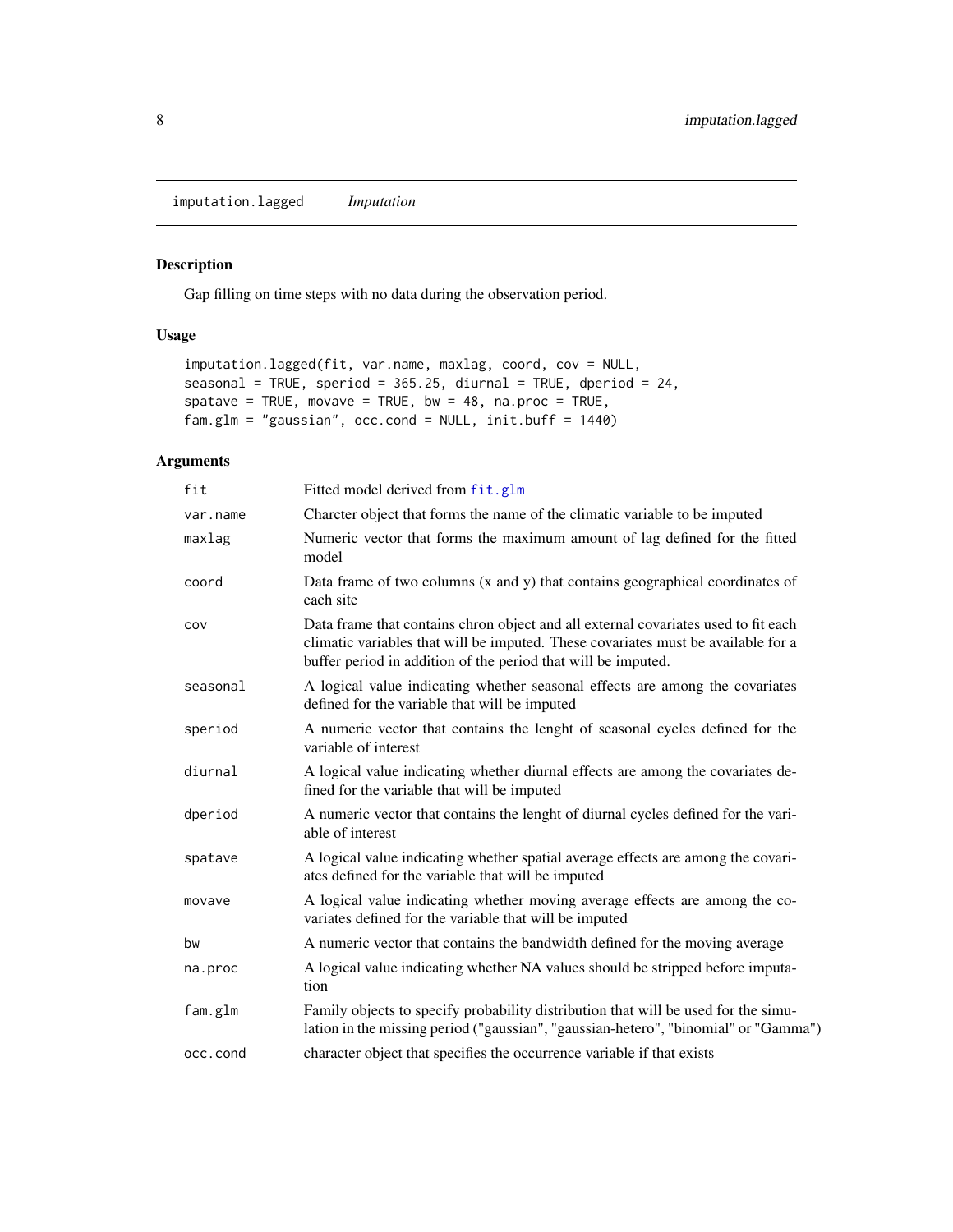<span id="page-7-1"></span><span id="page-7-0"></span>imputation.lagged *Imputation*

## Description

Gap filling on time steps with no data during the observation period.

## Usage

```
imputation.lagged(fit, var.name, maxlag, coord, cov = NULL,
seasonal = TRUE, speriod = 365.25, diurnal = TRUE, dperiod = 24,
spatave = TRUE, movave = TRUE, bw = 48, na.proc = TRUE,
fam.glm = "gaussian", occ.cond = NULL, init.buff = 1440)
```

| fit      | Fitted model derived from fit.glm                                                                                                                                                                                                        |
|----------|------------------------------------------------------------------------------------------------------------------------------------------------------------------------------------------------------------------------------------------|
| var.name | Charcter object that forms the name of the climatic variable to be imputed                                                                                                                                                               |
| maxlag   | Numeric vector that forms the maximum amount of lag defined for the fitted<br>model                                                                                                                                                      |
| coord    | Data frame of two columns (x and y) that contains geographical coordinates of<br>each site                                                                                                                                               |
| cov      | Data frame that contains chron object and all external covariates used to fit each<br>climatic variables that will be imputed. These covariates must be available for a<br>buffer period in addition of the period that will be imputed. |
| seasonal | A logical value indicating whether seasonal effects are among the covariates<br>defined for the variable that will be imputed                                                                                                            |
| speriod  | A numeric vector that contains the lenght of seasonal cycles defined for the<br>variable of interest                                                                                                                                     |
| diurnal  | A logical value indicating whether diurnal effects are among the covariates de-<br>fined for the variable that will be imputed                                                                                                           |
| dperiod  | A numeric vector that contains the lenght of diurnal cycles defined for the vari-<br>able of interest                                                                                                                                    |
| spatave  | A logical value indicating whether spatial average effects are among the covari-<br>ates defined for the variable that will be imputed                                                                                                   |
| movave   | A logical value indicating whether moving average effects are among the co-<br>variates defined for the variable that will be imputed                                                                                                    |
| bw       | A numeric vector that contains the bandwidth defined for the moving average                                                                                                                                                              |
| na.proc  | A logical value indicating whether NA values should be stripped before imputa-<br>tion                                                                                                                                                   |
| fam.glm  | Family objects to specify probability distribution that will be used for the simu-<br>lation in the missing period ("gaussian", "gaussian-hetero", "binomial" or "Gamma")                                                                |
| occ.cond | character object that specifies the occurrence variable if that exists                                                                                                                                                                   |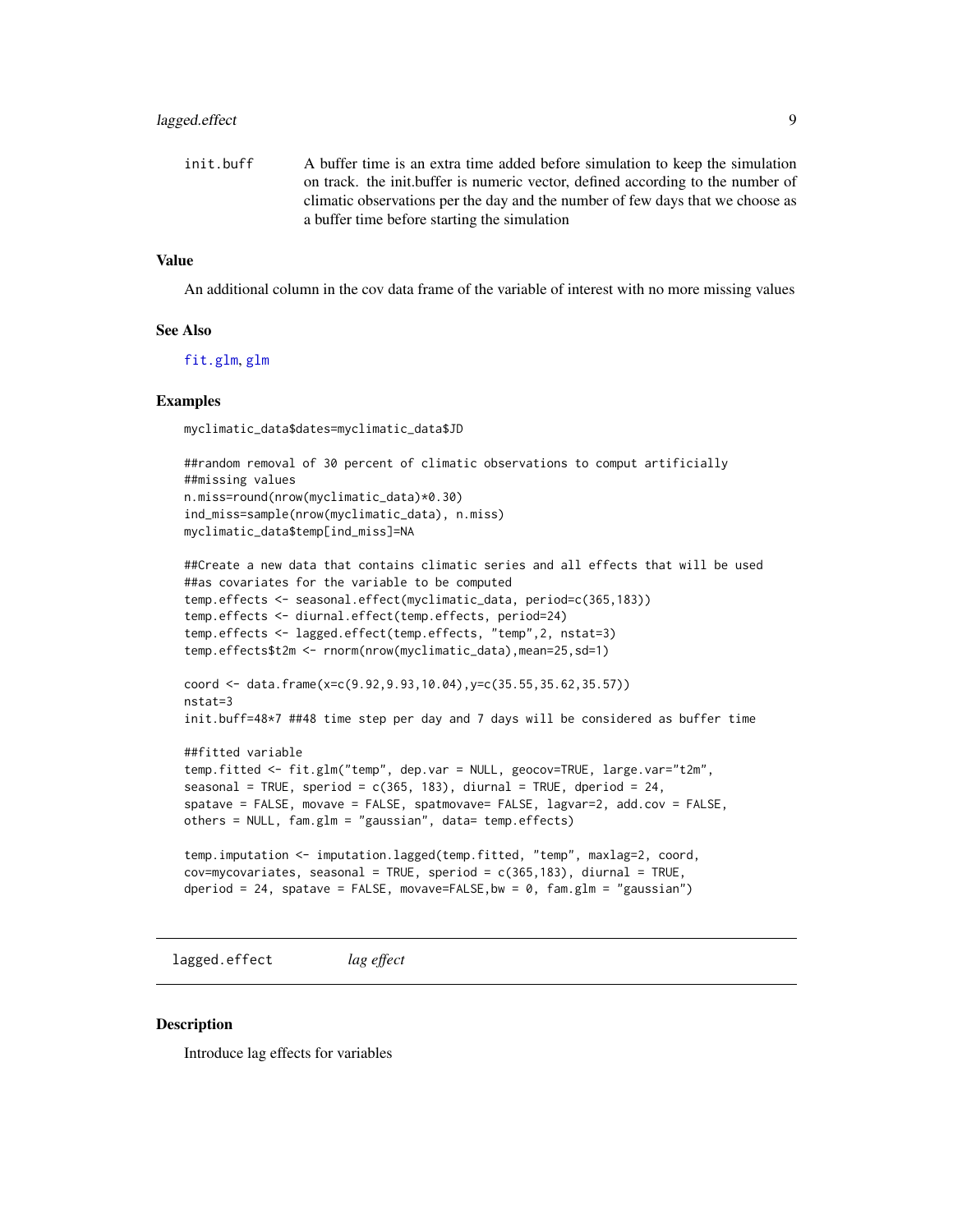## <span id="page-8-0"></span>lagged.effect 9

init.buff A buffer time is an extra time added before simulation to keep the simulation on track. the init.buffer is numeric vector, defined according to the number of climatic observations per the day and the number of few days that we choose as a buffer time before starting the simulation

#### Value

An additional column in the cov data frame of the variable of interest with no more missing values

#### See Also

[fit.glm](#page-3-1), [glm](#page-0-0)

#### Examples

myclimatic\_data\$dates=myclimatic\_data\$JD

```
##random removal of 30 percent of climatic observations to comput artificially
##missing values
n.miss=round(nrow(myclimatic_data)*0.30)
ind_miss=sample(nrow(myclimatic_data), n.miss)
myclimatic_data$temp[ind_miss]=NA
```

```
##Create a new data that contains climatic series and all effects that will be used
##as covariates for the variable to be computed
temp.effects <- seasonal.effect(myclimatic_data, period=c(365,183))
temp.effects <- diurnal.effect(temp.effects, period=24)
temp.effects <- lagged.effect(temp.effects, "temp",2, nstat=3)
temp.effects$t2m <- rnorm(nrow(myclimatic_data),mean=25,sd=1)
```

```
coord <- data.frame(x=c(9.92,9.93,10.04),y=c(35.55,35.62,35.57))
nstat=3
init.buff=48*7 ##48 time step per day and 7 days will be considered as buffer time
```

```
##fitted variable
temp.fitted <- fit.glm("temp", dep.var = NULL, geocov=TRUE, large.var="t2m",
seasonal = TRUE, speriod = c(365, 183), diurnal = TRUE, dperiod = 24,
spatave = FALSE, movave = FALSE, spatmovave= FALSE, lagvar=2, add.cov = FALSE,
others = NULL, fam.glm = "gaussian", data= temp.effects)
```

```
temp.imputation <- imputation.lagged(temp.fitted, "temp", maxlag=2, coord,
cov=mycovariates, seasonal = TRUE, speriod = c(365,183), diurnal = TRUE,
dperiod = 24, spatave = FALSE, movave=FALSE, bw = \theta, fam.glm = "gaussian")
```
<span id="page-8-1"></span>lagged.effect *lag effect*

#### **Description**

Introduce lag effects for variables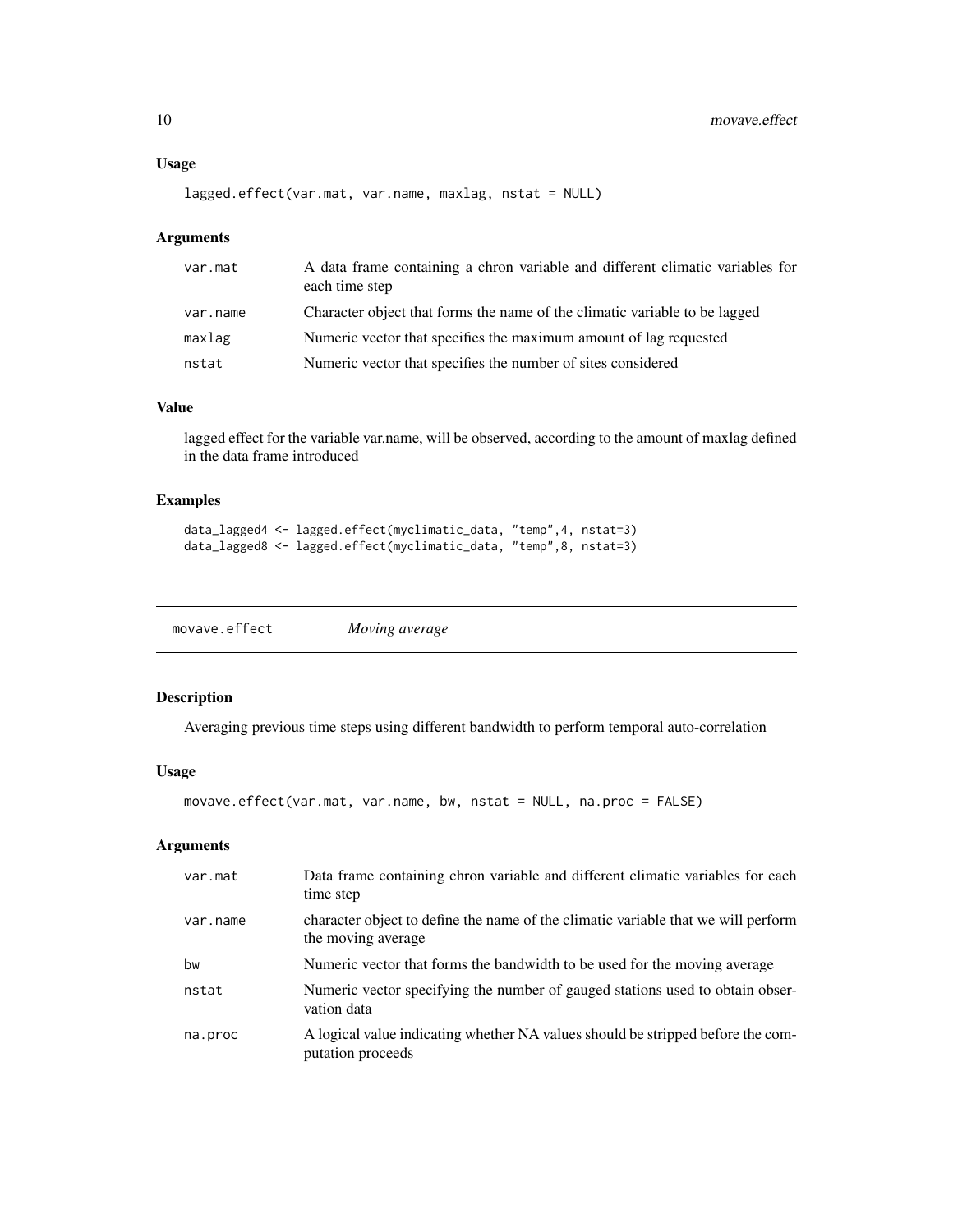## <span id="page-9-0"></span>Usage

```
lagged.effect(var.mat, var.name, maxlag, nstat = NULL)
```
#### Arguments

| var.mat  | A data frame containing a chron variable and different climatic variables for<br>each time step |
|----------|-------------------------------------------------------------------------------------------------|
| var.name | Character object that forms the name of the climatic variable to be lagged                      |
| maxlag   | Numeric vector that specifies the maximum amount of lag requested                               |
| nstat    | Numeric vector that specifies the number of sites considered                                    |

## Value

lagged effect for the variable var.name, will be observed, according to the amount of maxlag defined in the data frame introduced

## Examples

```
data_lagged4 <- lagged.effect(myclimatic_data, "temp",4, nstat=3)
data_lagged8 <- lagged.effect(myclimatic_data, "temp",8, nstat=3)
```

| movave.effect | Moving average |
|---------------|----------------|
|---------------|----------------|

### Description

Averaging previous time steps using different bandwidth to perform temporal auto-correlation

#### Usage

```
movave.effect(var.mat, var.name, bw, nstat = NULL, na.proc = FALSE)
```

| var.mat  | Data frame containing chron variable and different climatic variables for each<br>time step             |
|----------|---------------------------------------------------------------------------------------------------------|
| var.name | character object to define the name of the climatic variable that we will perform<br>the moving average |
| bw       | Numeric vector that forms the bandwidth to be used for the moving average                               |
| nstat    | Numeric vector specifying the number of gauged stations used to obtain obser-<br>vation data            |
| na.proc  | A logical value indicating whether NA values should be stripped before the com-<br>putation proceeds    |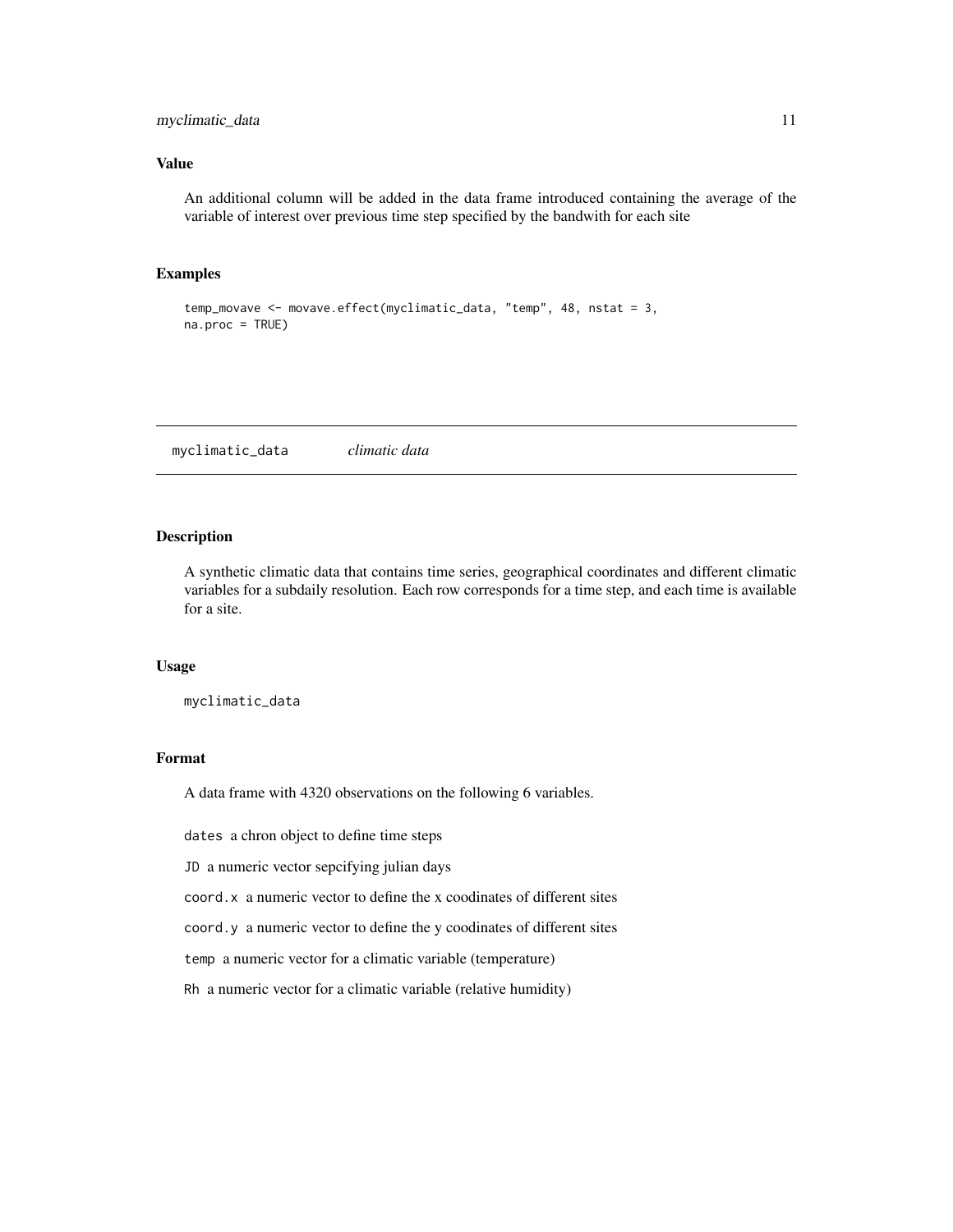## <span id="page-10-0"></span>myclimatic\_data 11

#### Value

An additional column will be added in the data frame introduced containing the average of the variable of interest over previous time step specified by the bandwith for each site

## Examples

```
temp_movave <- movave.effect(myclimatic_data, "temp", 48, nstat = 3,
na.proc = TRUE)
```
<span id="page-10-1"></span>myclimatic\_data *climatic data*

## Description

A synthetic climatic data that contains time series, geographical coordinates and different climatic variables for a subdaily resolution. Each row corresponds for a time step, and each time is available for a site.

#### Usage

myclimatic\_data

### Format

A data frame with 4320 observations on the following 6 variables.

dates a chron object to define time steps

JD a numeric vector sepcifying julian days

coord.x a numeric vector to define the x coodinates of different sites

coord.y a numeric vector to define the y coodinates of different sites

temp a numeric vector for a climatic variable (temperature)

Rh a numeric vector for a climatic variable (relative humidity)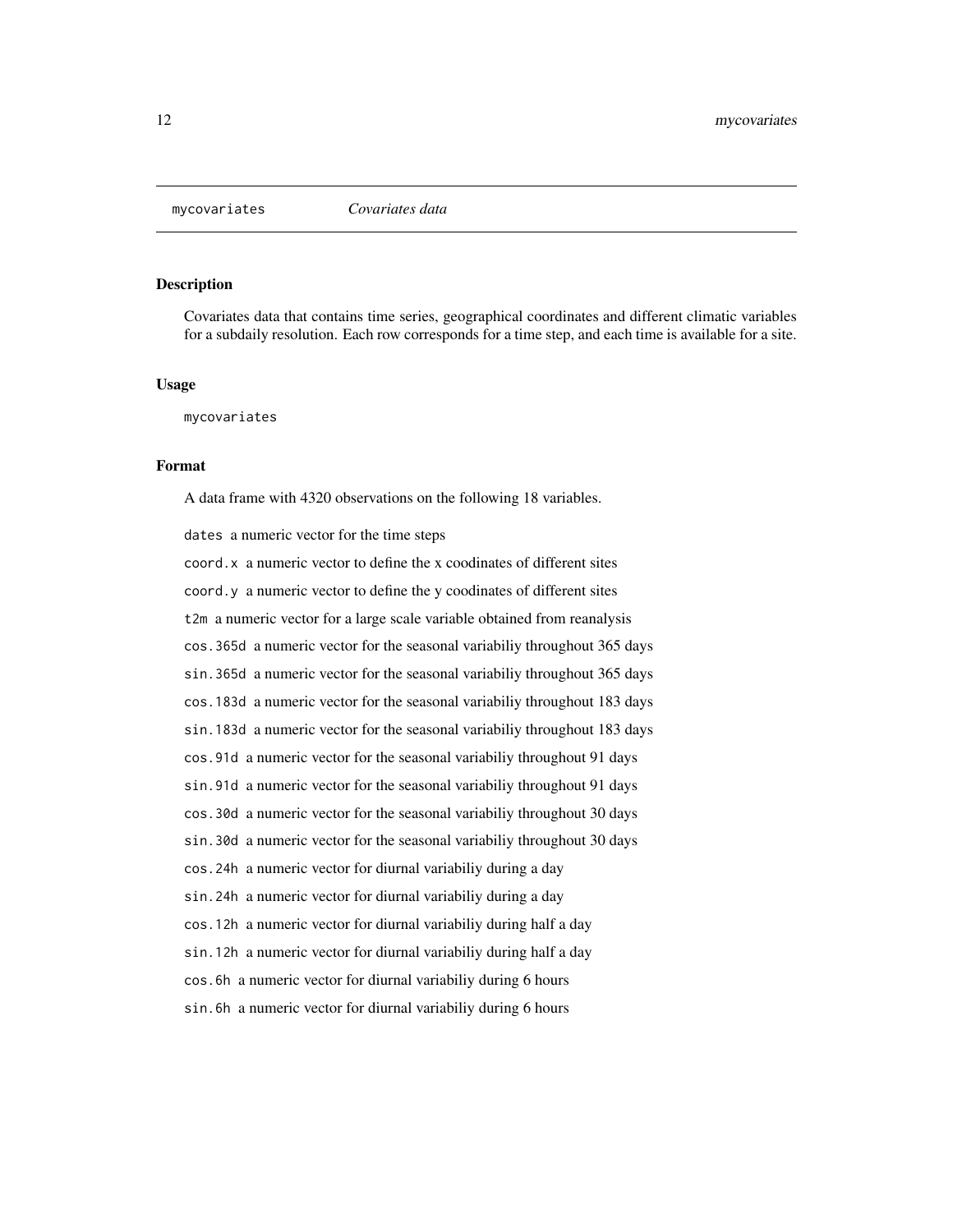<span id="page-11-0"></span>

Covariates data that contains time series, geographical coordinates and different climatic variables for a subdaily resolution. Each row corresponds for a time step, and each time is available for a site.

#### Usage

mycovariates

#### Format

A data frame with 4320 observations on the following 18 variables.

dates a numeric vector for the time steps

coord.x a numeric vector to define the x coodinates of different sites coord.y a numeric vector to define the y coodinates of different sites t2m a numeric vector for a large scale variable obtained from reanalysis cos.365d a numeric vector for the seasonal variabiliy throughout 365 days sin.365d a numeric vector for the seasonal variabiliy throughout 365 days cos.183d a numeric vector for the seasonal variabiliy throughout 183 days sin.183d a numeric vector for the seasonal variabiliy throughout 183 days cos.91d a numeric vector for the seasonal variabiliy throughout 91 days sin.91d a numeric vector for the seasonal variabiliy throughout 91 days cos.30d a numeric vector for the seasonal variabiliy throughout 30 days sin.30d a numeric vector for the seasonal variabiliy throughout 30 days cos.24h a numeric vector for diurnal variabiliy during a day sin.24h a numeric vector for diurnal variabiliy during a day cos.12h a numeric vector for diurnal variabiliy during half a day sin.12h a numeric vector for diurnal variabiliy during half a day cos.6h a numeric vector for diurnal variabiliy during 6 hours sin.6h a numeric vector for diurnal variabiliy during 6 hours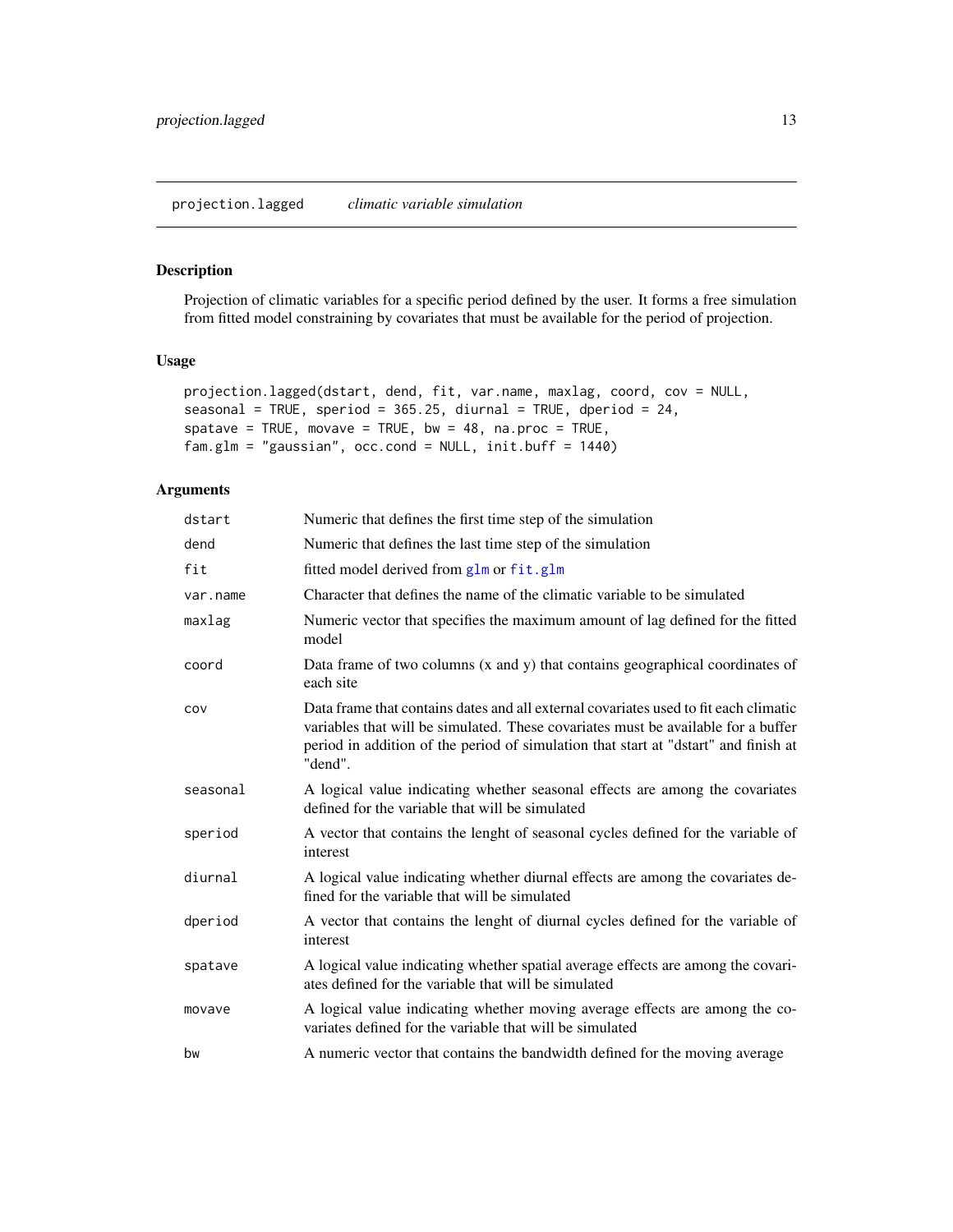<span id="page-12-1"></span><span id="page-12-0"></span>Projection of climatic variables for a specific period defined by the user. It forms a free simulation from fitted model constraining by covariates that must be available for the period of projection.

## Usage

```
projection.lagged(dstart, dend, fit, var.name, maxlag, coord, cov = NULL,
seasonal = TRUE, speriod = 365.25, diurnal = TRUE, dperiod = 24,
spatave = TRUE, movave = TRUE, bw = 48, na.proc = TRUE,
fam.glm = "gaussian", occ.cond = NULL, init.buff = 1440)
```

| dstart   | Numeric that defines the first time step of the simulation                                                                                                                                                                                                                  |
|----------|-----------------------------------------------------------------------------------------------------------------------------------------------------------------------------------------------------------------------------------------------------------------------------|
| dend     | Numeric that defines the last time step of the simulation                                                                                                                                                                                                                   |
| fit      | fitted model derived from glm or fit.glm                                                                                                                                                                                                                                    |
| var.name | Character that defines the name of the climatic variable to be simulated                                                                                                                                                                                                    |
| maxlag   | Numeric vector that specifies the maximum amount of lag defined for the fitted<br>model                                                                                                                                                                                     |
| coord    | Data frame of two columns $(x \text{ and } y)$ that contains geographical coordinates of<br>each site                                                                                                                                                                       |
| cov      | Data frame that contains dates and all external covariates used to fit each climatic<br>variables that will be simulated. These covariates must be available for a buffer<br>period in addition of the period of simulation that start at "dstart" and finish at<br>"dend". |
| seasonal | A logical value indicating whether seasonal effects are among the covariates<br>defined for the variable that will be simulated                                                                                                                                             |
| speriod  | A vector that contains the lenght of seasonal cycles defined for the variable of<br>interest                                                                                                                                                                                |
| diurnal  | A logical value indicating whether diurnal effects are among the covariates de-<br>fined for the variable that will be simulated                                                                                                                                            |
| dperiod  | A vector that contains the lenght of diurnal cycles defined for the variable of<br>interest                                                                                                                                                                                 |
| spatave  | A logical value indicating whether spatial average effects are among the covari-<br>ates defined for the variable that will be simulated                                                                                                                                    |
| movave   | A logical value indicating whether moving average effects are among the co-<br>variates defined for the variable that will be simulated                                                                                                                                     |
| bw       | A numeric vector that contains the bandwidth defined for the moving average                                                                                                                                                                                                 |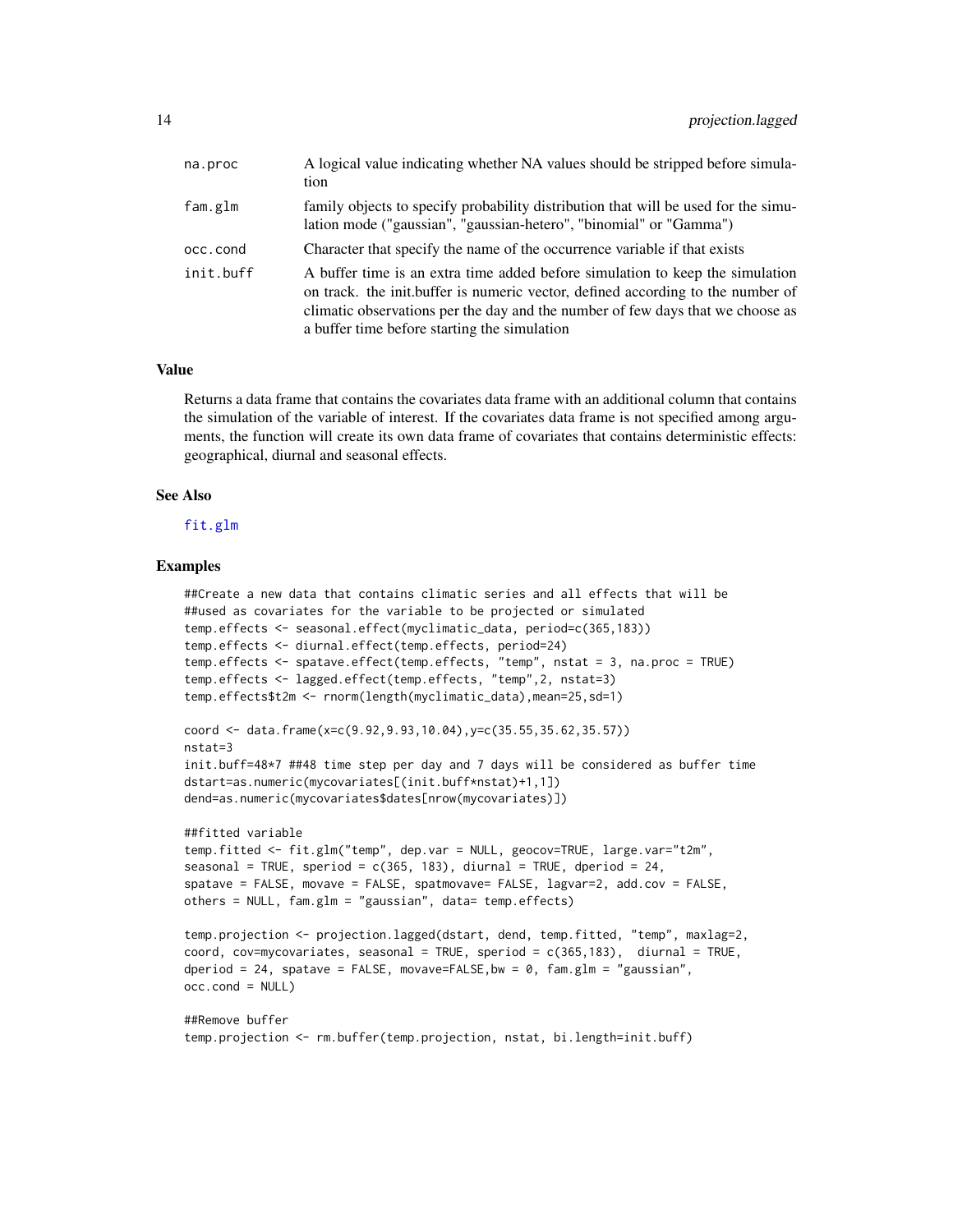| na.proc   | A logical value indicating whether NA values should be stripped before simula-<br>tion                                                                                                                                                                                                              |
|-----------|-----------------------------------------------------------------------------------------------------------------------------------------------------------------------------------------------------------------------------------------------------------------------------------------------------|
| fam.glm   | family objects to specify probability distribution that will be used for the simu-<br>lation mode ("gaussian", "gaussian-hetero", "binomial" or "Gamma")                                                                                                                                            |
| occ.cond  | Character that specify the name of the occurrence variable if that exists                                                                                                                                                                                                                           |
| init.buff | A buffer time is an extra time added before simulation to keep the simulation<br>on track, the init, buffer is numeric vector, defined according to the number of<br>climatic observations per the day and the number of few days that we choose as<br>a buffer time before starting the simulation |

## Value

Returns a data frame that contains the covariates data frame with an additional column that contains the simulation of the variable of interest. If the covariates data frame is not specified among arguments, the function will create its own data frame of covariates that contains deterministic effects: geographical, diurnal and seasonal effects.

#### See Also

#### [fit.glm](#page-3-1)

#### Examples

```
##Create a new data that contains climatic series and all effects that will be
##used as covariates for the variable to be projected or simulated
temp.effects <- seasonal.effect(myclimatic_data, period=c(365,183))
temp.effects <- diurnal.effect(temp.effects, period=24)
temp.effects <- spatave.effect(temp.effects, "temp", nstat = 3, na.proc = TRUE)
temp.effects <- lagged.effect(temp.effects, "temp",2, nstat=3)
temp.effects$t2m <- rnorm(length(myclimatic_data),mean=25,sd=1)
coord <- data.frame(x=c(9.92,9.93,10.04),y=c(35.55,35.62,35.57))
nstat=3
init.buff=48*7 ##48 time step per day and 7 days will be considered as buffer time
dstart=as.numeric(mycovariates[(init.buff*nstat)+1,1])
dend=as.numeric(mycovariates$dates[nrow(mycovariates)])
##fitted variable
temp.fitted <- fit.glm("temp", dep.var = NULL, geocov=TRUE, large.var="t2m",
seasonal = TRUE, speriod = c(365, 183), diurnal = TRUE, dperiod = 24,
spatave = FALSE, movave = FALSE, spatmovave= FALSE, lagvar=2, add.cov = FALSE,
others = NULL, fam.glm = "gaussian", data= temp.effects)
temp.projection <- projection.lagged(dstart, dend, temp.fitted, "temp", maxlag=2,
coord, cov=mycovariates, seasonal = TRUE, speriod = c(365,183), diurnal = TRUE,
dperiod = 24, spatave = FALSE, movave=FALSE, bw = \theta, fam.glm = "gaussian",
occ.cond = NULL)
##Remove buffer
temp.projection <- rm.buffer(temp.projection, nstat, bi.length=init.buff)
```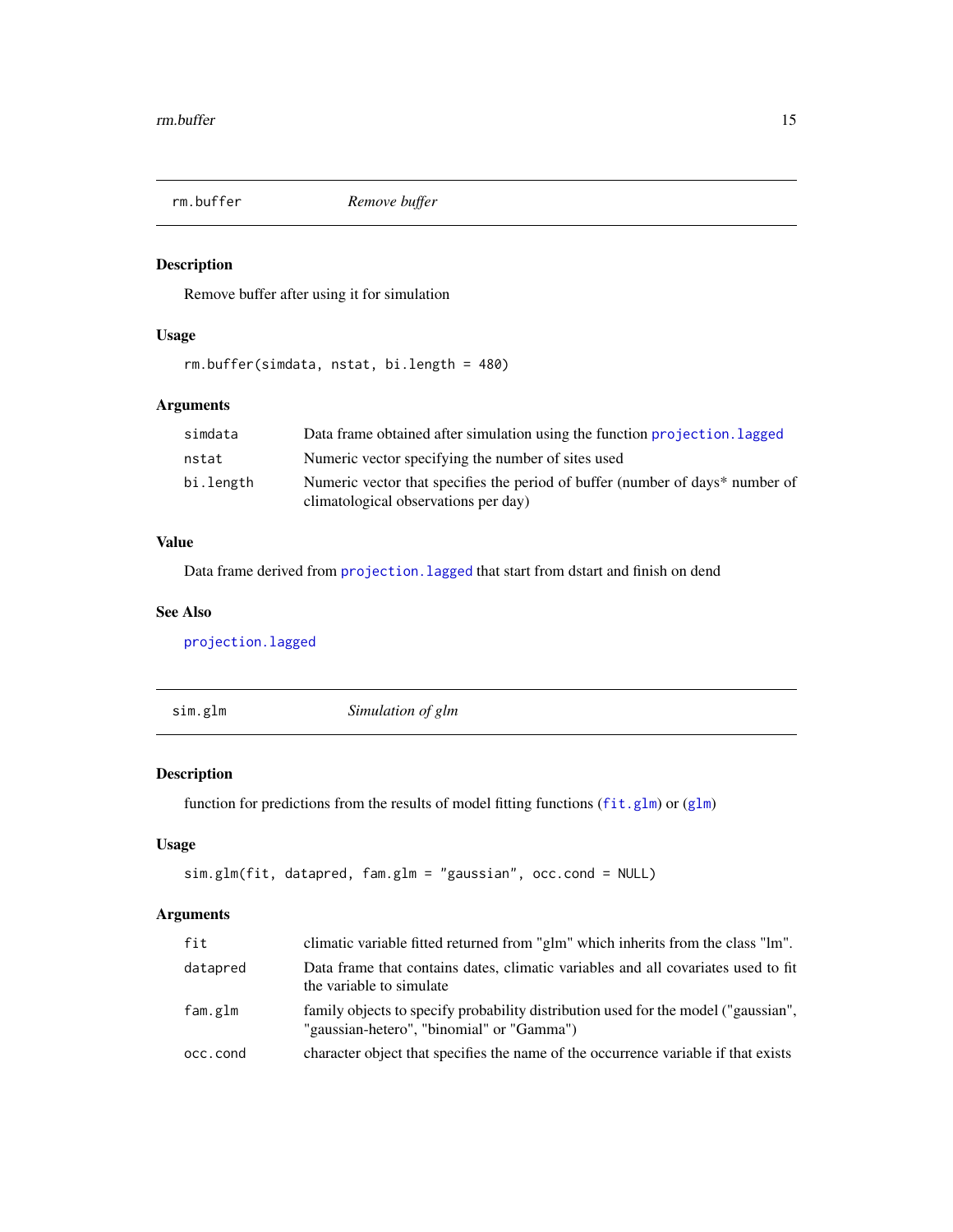<span id="page-14-0"></span>

Remove buffer after using it for simulation

## Usage

rm.buffer(simdata, nstat, bi.length = 480)

## Arguments

| simdata   | Data frame obtained after simulation using the function projection. Lagged                                            |
|-----------|-----------------------------------------------------------------------------------------------------------------------|
| nstat     | Numeric vector specifying the number of sites used                                                                    |
| bi.length | Numeric vector that specifies the period of buffer (number of days* number of<br>climatological observations per day) |

## Value

Data frame derived from [projection.lagged](#page-12-1) that start from dstart and finish on dend

#### See Also

[projection.lagged](#page-12-1)

| sim.glm | Simulation of glm |  |
|---------|-------------------|--|
|         |                   |  |

## Description

function for predictions from the results of model fitting functions ([fit.glm](#page-3-1)) or ([glm](#page-0-0))

## Usage

```
sim.glm(fit, datapred, fam.glm = "gaussian", occ.cond = NULL)
```

| fit      | climatic variable fitted returned from "glm" which inherits from the class "lm".                                                |
|----------|---------------------------------------------------------------------------------------------------------------------------------|
| datapred | Data frame that contains dates, climatic variables and all covariates used to fit<br>the variable to simulate                   |
| fam.glm  | family objects to specify probability distribution used for the model ("gaussian",<br>"gaussian-hetero", "binomial" or "Gamma") |
| occ.cond | character object that specifies the name of the occurrence variable if that exists                                              |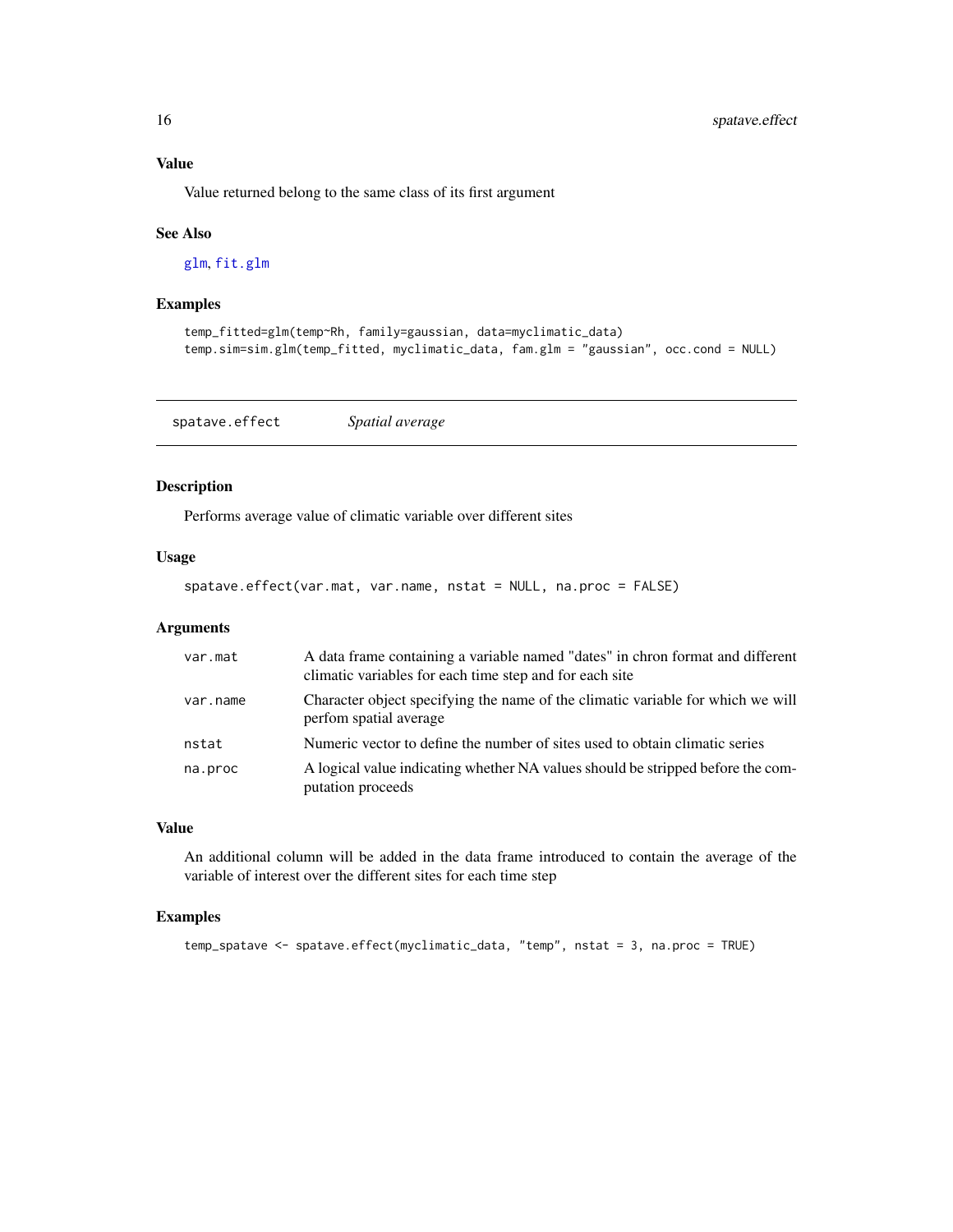## Value

Value returned belong to the same class of its first argument

#### See Also

[glm](#page-0-0), [fit.glm](#page-3-1)

#### Examples

```
temp_fitted=glm(temp~Rh, family=gaussian, data=myclimatic_data)
temp.sim=sim.glm(temp_fitted, myclimatic_data, fam.glm = "gaussian", occ.cond = NULL)
```
spatave.effect *Spatial average*

## Description

Performs average value of climatic variable over different sites

#### Usage

```
spatave.effect(var.mat, var.name, nstat = NULL, na.proc = FALSE)
```
#### Arguments

| var.mat  | A data frame containing a variable named "dates" in chron format and different<br>climatic variables for each time step and for each site |
|----------|-------------------------------------------------------------------------------------------------------------------------------------------|
| var.name | Character object specifying the name of the climatic variable for which we will<br>perfom spatial average                                 |
| nstat    | Numeric vector to define the number of sites used to obtain climatic series                                                               |
| na.proc  | A logical value indicating whether NA values should be stripped before the com-<br>putation proceeds                                      |

## Value

An additional column will be added in the data frame introduced to contain the average of the variable of interest over the different sites for each time step

## Examples

```
temp_spatave <- spatave.effect(myclimatic_data, "temp", nstat = 3, na.proc = TRUE)
```
<span id="page-15-0"></span>